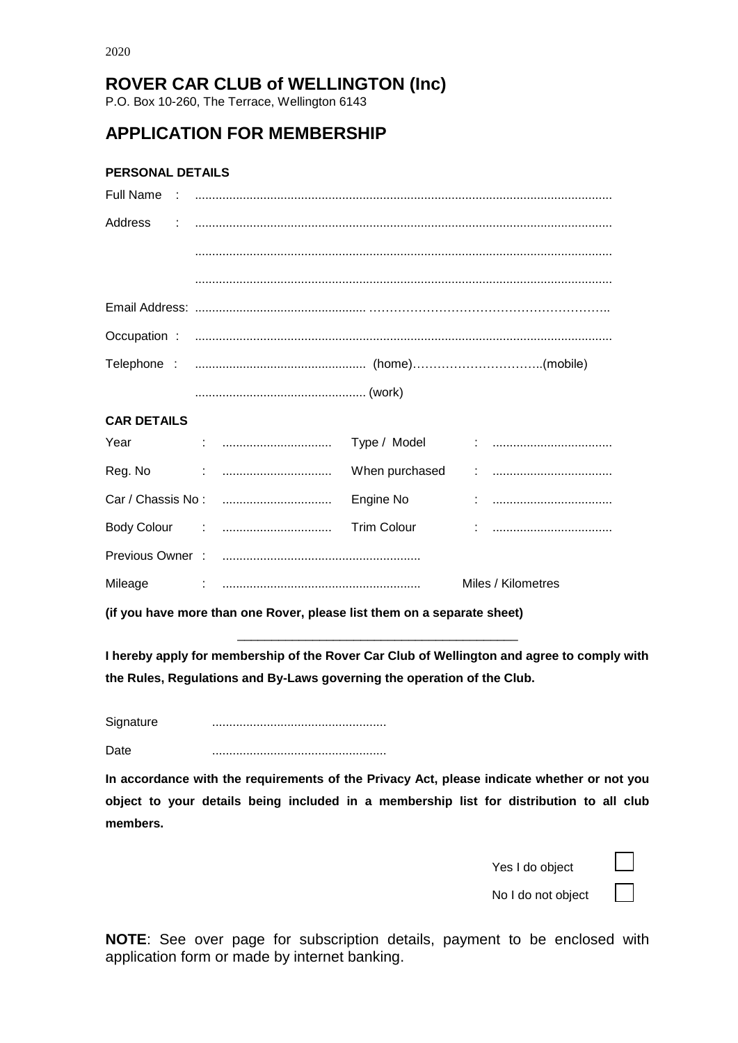## **ROVER CAR CLUB of WELLINGTON (Inc)**

P.O. Box 10-260, The Terrace, Wellington 6143

## **APPLICATION FOR MEMBERSHIP**

#### **PERSONAL DETAILS**

| <b>CAR DETAILS</b> |  |
|--------------------|--|

# Year : ................................ Type / Model : ................................... Reg. No : ................................ When purchased : ................................... Car / Chassis No : ................................ Engine No : ................................... Body Colour : ................................ Trim Colour : ................................... Previous Owner : .......................................................... Mileage : .......................................................... Miles / Kilometres

**(if you have more than one Rover, please list them on a separate sheet)**

**I hereby apply for membership of the Rover Car Club of Wellington and agree to comply with the Rules, Regulations and By-Laws governing the operation of the Club.**

\_\_\_\_\_\_\_\_\_\_\_\_\_\_\_\_\_\_\_\_\_\_\_\_\_\_\_\_\_\_\_\_\_\_\_\_\_\_\_\_\_

Signature ...................................................

Date ...................................................

**In accordance with the requirements of the Privacy Act, please indicate whether or not you object to your details being included in a membership list for distribution to all club members.**

Yes I do object



No I do not object

**NOTE**: See over page for subscription details, payment to be enclosed with application form or made by internet banking.